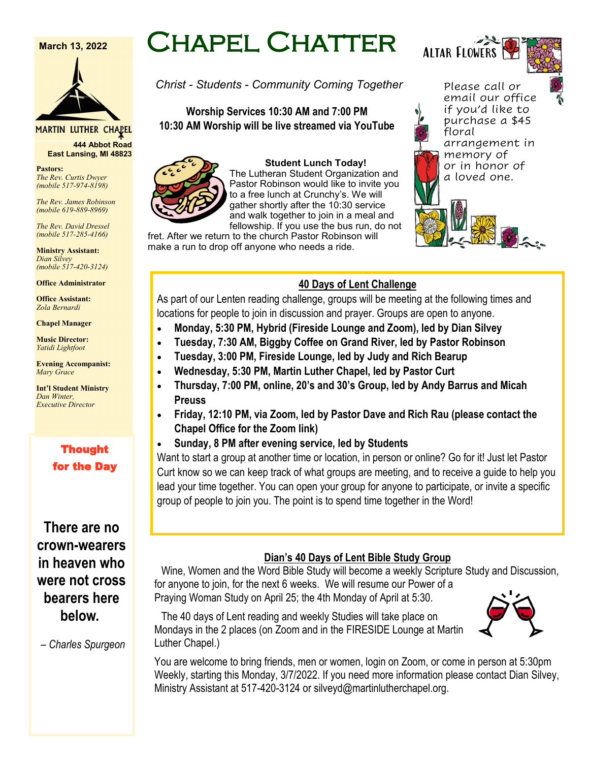#### **March 13, 2022**



#### **MARTIN LUTHER CHAPEL**

**444 Abbot Road East Lansing, MI 48823**

**Pastors:** *The Rev. Curtis Dwyer (mobile 517-974-8198)*

*The Rev. James Robinson (mobile 619-889-8969)*

*The Rev. David Dressel (mobile 517-285-4166)*

**Ministry Assistant:**  *Dian Silvey (mobile 517-420-3124)*

**Office Administrator**

**Office Assistant:** *Zola Bernardi*

**Chapel Manager** 

**Music Director:** *Yatidi Lightfoot* 

**Evening Accompanist:** *Mary Grace*

**Int'l Student Ministry** *Dan Winter, Executive Director*

## Thought for the Day

## **There are no crown-wearers in heaven who were not cross bearers here below.**

*– Charles Spurgeon*

# Chapel Chatter

Altar Flowers

*Christ - Students - Community Coming Together*

#### **Worship Services 10:30 AM and 7:00 PM 10:30 AM Worship will be live streamed via YouTube**



**Student Lunch Today!** The Lutheran Student Organization and Pastor Robinson would like to invite you to a free lunch at Crunchy's. We will gather shortly after the 10:30 service and walk together to join in a meal and fellowship. If you use the bus run, do not

fret. After we return to the church Pastor Robinson will make a run to drop off anyone who needs a ride.

#### Please call or email our office if you'd like to purchase a \$45 floral arrangement in memory of or in honor of a loved one.

#### **40 Days of Lent Challenge**

As part of our Lenten reading challenge, groups will be meeting at the following times and locations for people to join in discussion and prayer. Groups are open to anyone.

- **Monday, 5:30 PM, Hybrid (Fireside Lounge and Zoom), led by Dian Silvey**
- **Tuesday, 7:30 AM, Biggby Coffee on Grand River, led by Pastor Robinson**
- **Tuesday, 3:00 PM, Fireside Lounge, led by Judy and Rich Bearup**
- **Wednesday, 5:30 PM, Martin Luther Chapel, led by Pastor Curt**
- **Thursday, 7:00 PM, online, 20's and 30's Group, led by Andy Barrus and Micah Preuss**
- **Friday, 12:10 PM, via Zoom, led by Pastor Dave and Rich Rau (please contact the Chapel Office for the Zoom link)**
- **Sunday, 8 PM after evening service, led by Students**

Want to start a group at another time or location, in person or online? Go for it! Just let Pastor Curt know so we can keep track of what groups are meeting, and to receive a guide to help you lead your time together. You can open your group for anyone to participate, or invite a specific group of people to join you. The point is to spend time together in the Word!

#### **Dian's 40 Days of Lent Bible Study Group**

Wine, Women and the Word Bible Study will become a weekly Scripture Study and Discussion, for anyone to join, for the next 6 weeks. We will resume our Power of a Praying Woman Study on April 25; the 4th Monday of April at 5:30.

The 40 days of Lent reading and weekly Studies will take place on Mondays in the 2 places (on Zoom and in the FIRESIDE Lounge at Martin Luther Chapel.)

You are welcome to bring friends, men or women, login on Zoom, or come in person at 5:30pm Weekly, starting this Monday, 3/7/2022. If you need more information please contact Dian Silvey, Ministry Assistant at 517-420-3124 or silveyd@martinlutherchapel.org.